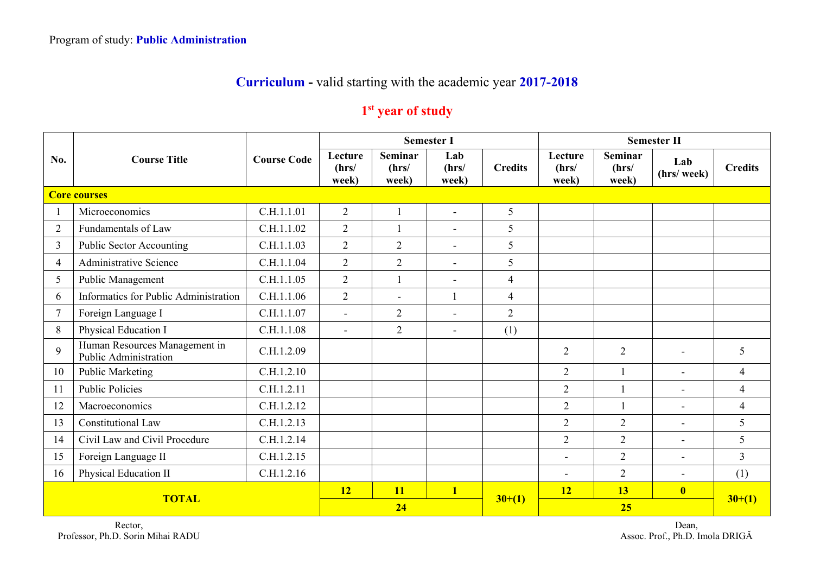## **Curriculum -** valid starting with the academic year **2017-2018**

## **1st year of study**

|                | <b>Course Title</b>                                    |                    |                           | <b>Semester I</b>                |                          |                |                           | <b>Semester II</b>               |                          |                |  |  |
|----------------|--------------------------------------------------------|--------------------|---------------------------|----------------------------------|--------------------------|----------------|---------------------------|----------------------------------|--------------------------|----------------|--|--|
| No.            |                                                        | <b>Course Code</b> | Lecture<br>(hrs/<br>week) | <b>Seminar</b><br>(hrs/<br>week) | Lab<br>(hrs/<br>week)    | <b>Credits</b> | Lecture<br>(hrs/<br>week) | <b>Seminar</b><br>(hrs/<br>week) | Lab<br>(hrs/week)        | <b>Credits</b> |  |  |
|                | <b>Core courses</b>                                    |                    |                           |                                  |                          |                |                           |                                  |                          |                |  |  |
|                | Microeconomics                                         | C.H.1.1.01         | $\overline{2}$            | $\mathbf{1}$                     | $\blacksquare$           | 5              |                           |                                  |                          |                |  |  |
| $\overline{2}$ | Fundamentals of Law                                    | C.H.1.1.02         | $\overline{2}$            |                                  | $\overline{\phantom{a}}$ | 5              |                           |                                  |                          |                |  |  |
| $\overline{3}$ | <b>Public Sector Accounting</b>                        | C.H.1.1.03         | $\overline{2}$            | $\overline{2}$                   | $\blacksquare$           | 5              |                           |                                  |                          |                |  |  |
| $\overline{4}$ | <b>Administrative Science</b>                          | C.H.1.1.04         | $\overline{2}$            | $\overline{2}$                   | $\overline{\phantom{a}}$ | 5              |                           |                                  |                          |                |  |  |
| 5              | Public Management                                      | C.H.1.1.05         | $\overline{2}$            | $\mathbf{1}$                     | $\overline{\phantom{a}}$ | $\overline{4}$ |                           |                                  |                          |                |  |  |
| 6              | Informatics for Public Administration                  | C.H.1.1.06         | $\overline{2}$            | $\overline{a}$                   |                          | $\overline{4}$ |                           |                                  |                          |                |  |  |
| 7              | Foreign Language I                                     | C.H.1.1.07         | $\blacksquare$            | $\overline{2}$                   | $\blacksquare$           | $\overline{2}$ |                           |                                  |                          |                |  |  |
| 8              | Physical Education I                                   | C.H.1.1.08         | $\blacksquare$            | $\overline{2}$                   | $\overline{\phantom{a}}$ | (1)            |                           |                                  |                          |                |  |  |
| 9              | Human Resources Management in<br>Public Administration | C.H.1.2.09         |                           |                                  |                          |                | $\overline{2}$            | $\overline{2}$                   |                          | 5              |  |  |
| 10             | <b>Public Marketing</b>                                | C.H.1.2.10         |                           |                                  |                          |                | $\overline{2}$            | $\mathbf{1}$                     | $\overline{a}$           | $\overline{4}$ |  |  |
| 11             | <b>Public Policies</b>                                 | C.H.1.2.11         |                           |                                  |                          |                | $\overline{2}$            | $\mathbf{1}$                     | $\overline{\phantom{0}}$ | $\overline{4}$ |  |  |
| 12             | Macroeconomics                                         | C.H.1.2.12         |                           |                                  |                          |                | $\overline{2}$            |                                  | $\overline{\phantom{0}}$ | $\overline{4}$ |  |  |
| 13             | Constitutional Law                                     | C.H.1.2.13         |                           |                                  |                          |                | $\overline{2}$            | $\overline{2}$                   | $\sim$                   | 5              |  |  |
| 14             | Civil Law and Civil Procedure                          | C.H.1.2.14         |                           |                                  |                          |                | $\overline{2}$            | $\overline{2}$                   |                          | 5              |  |  |
| 15             | Foreign Language II                                    | C.H.1.2.15         |                           |                                  |                          |                | $\blacksquare$            | $\overline{2}$                   | $\blacksquare$           | $\overline{3}$ |  |  |
| 16             | Physical Education II                                  | C.H.1.2.16         |                           |                                  |                          |                | $\overline{\phantom{a}}$  | $\overline{2}$                   | $\blacksquare$           | (1)            |  |  |
|                |                                                        | 12                 | <b>11</b>                 | $\mathbf{1}$                     |                          | 12             | 13                        | $\overline{\mathbf{0}}$          |                          |                |  |  |
| <b>TOTAL</b>   |                                                        |                    | 24                        |                                  |                          | $30+(1)$       |                           | $30+(1)$                         |                          |                |  |  |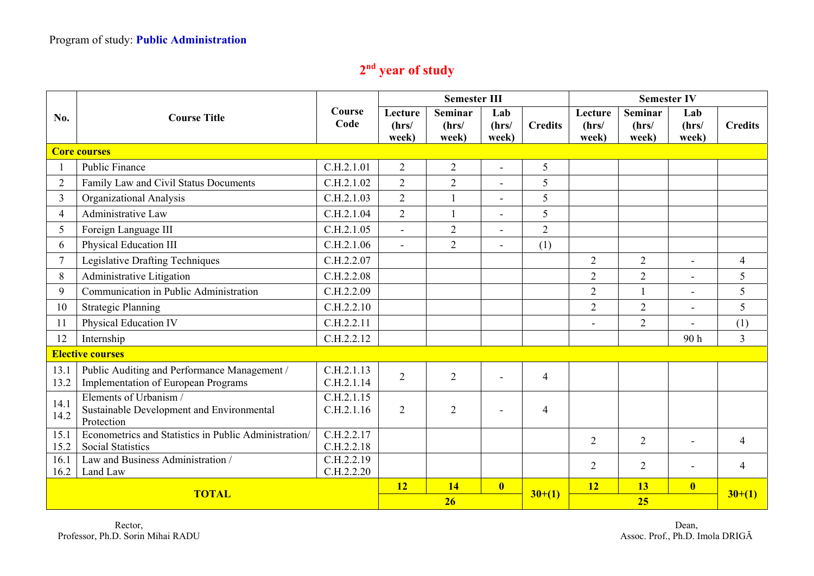## **2nd year of study**

|                         |                                                                                     |                          | <b>Semester III</b>       |                           |                         |                | <b>Semester IV</b>        |                                  |                         |                |
|-------------------------|-------------------------------------------------------------------------------------|--------------------------|---------------------------|---------------------------|-------------------------|----------------|---------------------------|----------------------------------|-------------------------|----------------|
| No.                     | <b>Course Title</b>                                                                 | Course<br>Code           | Lecture<br>(hrs/<br>week) | Seminar<br>(hrs/<br>week) | Lab<br>(hrs/<br>week)   | <b>Credits</b> | Lecture<br>(hrs/<br>week) | <b>Seminar</b><br>(hrs/<br>week) | Lab<br>(hrs/<br>week)   | <b>Credits</b> |
|                         | <b>Core courses</b>                                                                 |                          |                           |                           |                         |                |                           |                                  |                         |                |
|                         | <b>Public Finance</b>                                                               | C.H.2.1.01               | $\overline{2}$            | $\mathbf{2}$              |                         | 5              |                           |                                  |                         |                |
| $\overline{2}$          | Family Law and Civil Status Documents                                               | C.H.2.1.02               | $\overline{2}$            | $\overline{2}$            | $\sim$                  | 5              |                           |                                  |                         |                |
| 3                       | Organizational Analysis                                                             |                          | $\overline{2}$            |                           | $\overline{a}$          | 5              |                           |                                  |                         |                |
| $\overline{4}$          | Administrative Law                                                                  | C.H.2.1.04               | $\overline{2}$            |                           | $\overline{a}$          | 5              |                           |                                  |                         |                |
| 5                       | Foreign Language III                                                                | C.H.2.1.05               | $\sim$                    | $\overline{2}$            |                         | $\overline{2}$ |                           |                                  |                         |                |
| 6                       | Physical Education III                                                              | C.H.2.1.06               | $\blacksquare$            | $\overline{2}$            |                         | (1)            |                           |                                  |                         |                |
| $\overline{7}$          | Legislative Drafting Techniques                                                     | C.H.2.2.07               |                           |                           |                         |                | $\overline{2}$            | 2                                | $\blacksquare$          | 4              |
| 8                       | Administrative Litigation                                                           | C.H.2.2.08               |                           |                           |                         |                | $\overline{2}$            | $\overline{2}$                   | $\overline{a}$          | 5              |
| 9                       | Communication in Public Administration                                              | C.H.2.2.09               |                           |                           |                         |                | $\overline{2}$            |                                  | $\overline{a}$          | 5              |
| 10                      | <b>Strategic Planning</b>                                                           | C.H.2.2.10               |                           |                           |                         |                | $\overline{2}$            | $\overline{2}$                   |                         | 5              |
| 11                      | Physical Education IV                                                               | C.H.2.2.11               |                           |                           |                         |                |                           | $\overline{2}$                   |                         | (1)            |
| 12                      | Internship                                                                          |                          |                           |                           |                         |                |                           |                                  | 90 <sub>h</sub>         | $\overline{3}$ |
| <b>Elective courses</b> |                                                                                     |                          |                           |                           |                         |                |                           |                                  |                         |                |
| 13.1<br>13.2            | Public Auditing and Performance Management /<br>Implementation of European Programs | C.H.2.1.13<br>C.H.2.1.14 | $\overline{2}$            | $\overline{2}$            |                         | $\overline{4}$ |                           |                                  |                         |                |
| 14.1<br>14.2            | Elements of Urbanism /<br>Sustainable Development and Environmental<br>Protection   | C.H.2.1.15<br>C.H.2.1.16 | $\overline{2}$            | $\overline{2}$            |                         | $\overline{4}$ |                           |                                  |                         |                |
| 15.1<br>15.2            | Econometrics and Statistics in Public Administration/<br><b>Social Statistics</b>   | C.H.2.2.17<br>C.H.2.2.18 |                           |                           |                         |                | $\overline{2}$            | 2                                |                         | 4              |
| 16.1                    | Law and Business Administration /                                                   | C.H.2.2.19               |                           |                           |                         |                | $\overline{2}$            | $\overline{2}$                   |                         | 4              |
| 16.2                    | Land Law                                                                            | C.H.2.2.20               |                           |                           |                         |                |                           |                                  |                         |                |
| <b>TOTAL</b>            |                                                                                     |                          | <b>12</b>                 | <b>14</b>                 | $\overline{\mathbf{0}}$ | $30+(1)$       | <b>12</b>                 | 13                               | $\overline{\mathbf{0}}$ | $30+(1)$       |
|                         |                                                                                     |                          | 26                        |                           |                         |                | 25                        |                                  |                         |                |